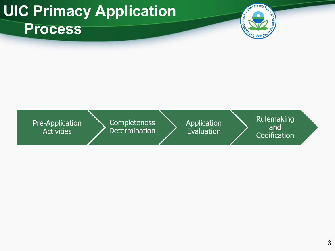### **UIC Primacy Application Process**



Pre-Application Activities

**Completeness** Determination Application Evaluation

Rulemaking and **Codification**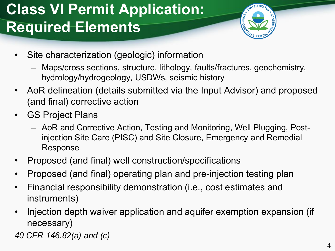# **Class VI Permit Application: Required Elements**



- Site characterization (geologic) information
	- Maps/cross sections, structure, lithology, faults/fractures, geochemistry, hydrology/hydrogeology, USDWs, seismic history
- AoR delineation (details submitted via the Input Advisor) and proposed (and final) corrective action
- GS Project Plans
	- AoR and Corrective Action, Testing and Monitoring, Well Plugging, Postinjection Site Care (PISC) and Site Closure, Emergency and Remedial Response
- Proposed (and final) well construction/specifications
- Proposed (and final) operating plan and pre-injection testing plan
- Financial responsibility demonstration (i.e., cost estimates and instruments)
- Injection depth waiver application and aquifer exemption expansion (if necessary)

*40 CFR 146.82(a) and (c)*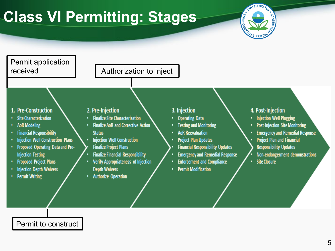# **Class VI Permitting: Stages**





Permit to construct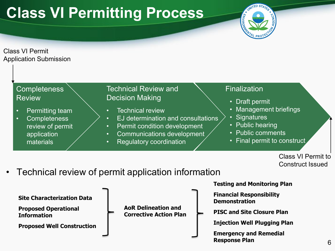### **Class VI Permitting Process**



Class VI Permit Application Submission

| <b>Completeness</b><br><b>Review</b>                                                                | <b>Technical Review and</b><br>Finalization<br><b>Decision Making</b><br>• Draft permit                                                                                                                                                                                                                                                                 |
|-----------------------------------------------------------------------------------------------------|---------------------------------------------------------------------------------------------------------------------------------------------------------------------------------------------------------------------------------------------------------------------------------------------------------------------------------------------------------|
| Permitting team<br><b>Completeness</b><br>$\bullet$<br>review of permit<br>application<br>materials | • Management briefings<br><b>Technical review</b><br>$\bullet$<br>• Signatures<br>EJ determination and consultations<br>$\bullet$<br>• Public hearing<br>Permit condition development<br>$\bullet$<br>• Public comments<br><b>Communications development</b><br>$\bullet$<br>• Final permit to construct<br><b>Regulatory coordination</b><br>$\bullet$ |

Class VI Permit to Construct Issued

• Technical review of permit application information

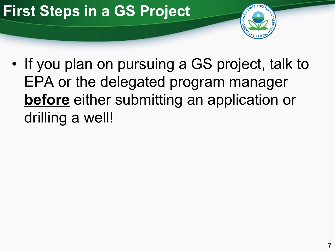# **First Steps in a GS Project**



• If you plan on pursuing a GS project, talk to EPA or the delegated program manager **before** either submitting an application or drilling a well!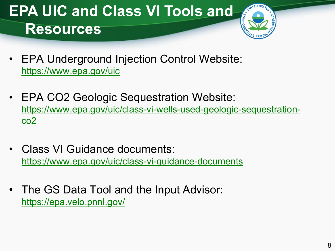### **EPA UIC and Class VI Tools and Resources**



- EPA Underground Injection Control Website: <https://www.epa.gov/uic>
- EPA CO2 Geologic Sequestration Website: [https://www.epa.gov/uic/class-vi-wells-used-geologic-sequestration](https://www.epa.gov/uic/class-vi-wells-used-geologic-sequestration-co2)co2
- Class VI Guidance documents: <https://www.epa.gov/uic/class-vi-guidance-documents>
- The GS Data Tool and the Input Advisor: <https://epa.velo.pnnl.gov/>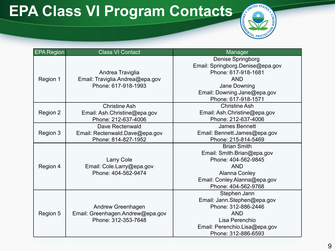# **EPA Class VI Program Contacts**



| <b>EPA Region</b> | <b>Class VI Contact</b>                                                      | <b>Manager</b>                                                                                                                                                          |
|-------------------|------------------------------------------------------------------------------|-------------------------------------------------------------------------------------------------------------------------------------------------------------------------|
| Region 1          | Andrea Traviglia<br>Email: Traviglia.Andrea@epa.gov<br>Phone: 617-918-1993   | <b>Denise Springborg</b><br>Email: Springborg.Denise@epa.gov<br>Phone: 617-918-1681<br><b>AND</b><br>Jane Downing<br>Email: Downing.Jane@epa.gov<br>Phone: 617-918-1571 |
| Region 2          | <b>Christine Ash</b><br>Email: Ash.Christine@epa.gov<br>Phone: 212-637-4006  | <b>Christine Ash</b><br>Email: Ash.Christine@epa.gov<br>Phone: 212-637-4006                                                                                             |
| Region 3          | Dave Rectenwald<br>Email: Rectenwald.Dave@epa.gov<br>Phone: 814-827-1952     | <b>James Bennett</b><br>Email: Bennett.James@epa.gov<br>Phone: 215-814-5469                                                                                             |
| Region 4          | <b>Larry Cole</b><br>Email: Cole.Larry@epa.gov<br>Phone: 404-562-9474        | <b>Brian Smith</b><br>Email: Smith.Brian@epa.gov<br>Phone: 404-562-9845<br><b>AND</b><br><b>Alanna Conley</b><br>Email: Conley.Alanna@epa.gov<br>Phone: 404-562-9768    |
| Region 5          | Andrew Greenhagen<br>Email: Greenhagen.Andrew@epa.gov<br>Phone: 312-353-7648 | Stephen Jann<br>Email: Jann.Stephen@epa.gov<br>Phone: 312-886-2446<br><b>AND</b><br>Lisa Perenchio<br>Email: Perenchio.Lisa@epa.gov<br>Phone: 312-886-6593              |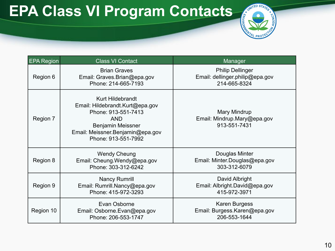# **EPA Class VI Program Contacts**



| <b>EPA Region</b>                                                                       | <b>Class VI Contact</b>                                                                                                                                                         | Manager                                                                    |  |
|-----------------------------------------------------------------------------------------|---------------------------------------------------------------------------------------------------------------------------------------------------------------------------------|----------------------------------------------------------------------------|--|
| Region 6                                                                                | <b>Brian Graves</b><br>Email: Graves.Brian@epa.gov<br>Phone: 214-665-7193                                                                                                       | <b>Philip Dellinger</b><br>Email: dellinger.philip@epa.gov<br>214-665-8324 |  |
| Region 7                                                                                | <b>Kurt Hildebrandt</b><br>Email: Hildebrandt.Kurt@epa.gov<br>Phone: 913-551-7413<br><b>AND</b><br>Benjamin Meissner<br>Email: Meissner.Benjamin@epa.gov<br>Phone: 913-551-7992 | Mary Mindrup<br>Email: Mindrup.Mary@epa.gov<br>913-551-7431                |  |
| Region 8                                                                                | <b>Wendy Cheung</b><br>Email: Cheung.Wendy@epa.gov<br>Phone: 303-312-6242                                                                                                       | Douglas Minter<br>Email: Minter.Douglas@epa.gov<br>303-312-6079            |  |
| <b>Nancy Rumrill</b><br>Region 9<br>Email: Rumrill.Nancy@epa.gov<br>Phone: 415-972-3293 |                                                                                                                                                                                 | David Albright<br>Email: Albright.David@epa.gov<br>415-972-3971            |  |
| Region 10                                                                               | Evan Osborne<br>Email: Osborne.Evan@epa.gov<br>Phone: 206-553-1747                                                                                                              | <b>Karen Burgess</b><br>Email: Burgess.Karen@epa.gov<br>206-553-1644       |  |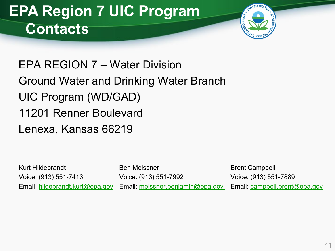### **EPA Region 7 UIC Program Contacts**



EPA REGION 7 – Water Division Ground Water and Drinking Water Branch UIC Program (WD/GAD) 11201 Renner Boulevard Lenexa, Kansas 66219

Kurt Hildebrandt Ben Meissner Brent Campbell

Voice: (913) 551-7413 Voice: (913) 551-7992 Voice: (913) 551-7889 Email: [hildebrandt.kurt@epa.gov](mailto:hildebrandt.kurt@epa.gov) Email: [meissner.benjamin@epa.gov](mailto:meissner.benjamin@epa.gov) Email: [campbell.brent@epa.gov](mailto:campbell.brent@epa.gov)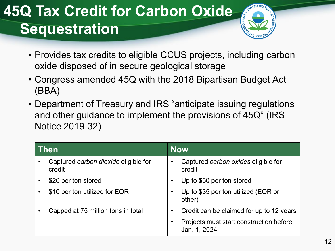### **45Q Tax Credit for Carbon Oxide Sequestration**



- Provides tax credits to eligible CCUS projects, including carbon oxide disposed of in secure geological storage
- Congress amended 45Q with the 2018 Bipartisan Budget Act (BBA)
- Department of Treasury and IRS "anticipate issuing regulations and other guidance to implement the provisions of 45Q" (IRS Notice 2019-32)

| <b>Then</b> |                                                | <b>Now</b> |                                                         |
|-------------|------------------------------------------------|------------|---------------------------------------------------------|
|             | Captured carbon dioxide eligible for<br>credit |            | Captured carbon oxides eligible for<br>credit           |
|             | \$20 per ton stored                            |            | Up to \$50 per ton stored                               |
|             | \$10 per ton utilized for EOR                  |            | Up to \$35 per ton utilized (EOR or<br>other)           |
|             | Capped at 75 million tons in total             |            | Credit can be claimed for up to 12 years                |
|             |                                                |            | Projects must start construction before<br>Jan. 1, 2024 |